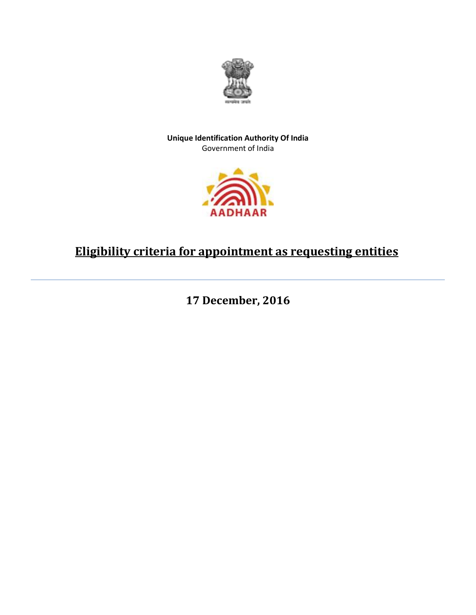

## **Unique Identification Authority Of India** Government of India



## **Eligibility criteria for appointment as requesting entities**

**17 December, 2016**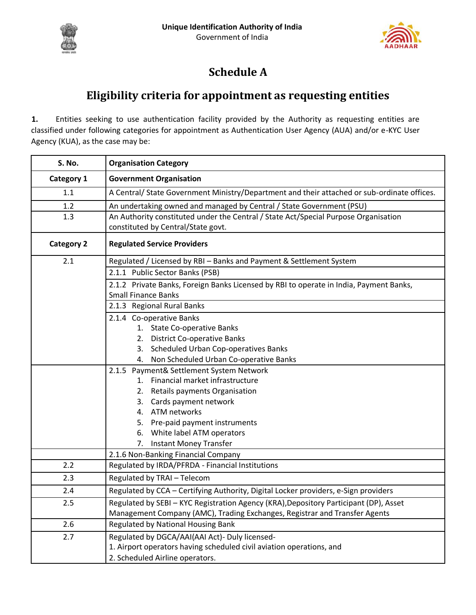



## **Schedule A**

## **Eligibility criteria for appointment as requesting entities**

**1.** Entities seeking to use authentication facility provided by the Authority as requesting entities are classified under following categories for appointment as Authentication User Agency (AUA) and/or e-KYC User Agency (KUA), as the case may be:

| S. No.            | <b>Organisation Category</b>                                                                                              |  |  |
|-------------------|---------------------------------------------------------------------------------------------------------------------------|--|--|
| Category 1        | <b>Government Organisation</b>                                                                                            |  |  |
| 1.1               | A Central/ State Government Ministry/Department and their attached or sub-ordinate offices.                               |  |  |
| 1.2               | An undertaking owned and managed by Central / State Government (PSU)                                                      |  |  |
| 1.3               | An Authority constituted under the Central / State Act/Special Purpose Organisation<br>constituted by Central/State govt. |  |  |
| <b>Category 2</b> | <b>Regulated Service Providers</b>                                                                                        |  |  |
| 2.1               | Regulated / Licensed by RBI - Banks and Payment & Settlement System                                                       |  |  |
|                   | 2.1.1 Public Sector Banks (PSB)                                                                                           |  |  |
|                   | 2.1.2 Private Banks, Foreign Banks Licensed by RBI to operate in India, Payment Banks,<br><b>Small Finance Banks</b>      |  |  |
|                   | 2.1.3 Regional Rural Banks                                                                                                |  |  |
|                   | 2.1.4 Co-operative Banks                                                                                                  |  |  |
|                   | 1. State Co-operative Banks                                                                                               |  |  |
|                   | 2. District Co-operative Banks                                                                                            |  |  |
|                   | 3. Scheduled Urban Cop-operatives Banks                                                                                   |  |  |
|                   | Non Scheduled Urban Co-operative Banks<br>4.                                                                              |  |  |
|                   | 2.1.5 Payment& Settlement System Network<br>Financial market infrastructure<br>$1_{-}$                                    |  |  |
|                   | Retails payments Organisation<br>2.                                                                                       |  |  |
|                   | 3. Cards payment network                                                                                                  |  |  |
|                   | 4. ATM networks                                                                                                           |  |  |
|                   | 5. Pre-paid payment instruments                                                                                           |  |  |
|                   | 6. White label ATM operators                                                                                              |  |  |
|                   | <b>Instant Money Transfer</b><br>7.                                                                                       |  |  |
|                   | 2.1.6 Non-Banking Financial Company                                                                                       |  |  |
| 2.2               | Regulated by IRDA/PFRDA - Financial Institutions                                                                          |  |  |
| 2.3               | Regulated by TRAI - Telecom                                                                                               |  |  |
| 2.4               | Regulated by CCA - Certifying Authority, Digital Locker providers, e-Sign providers                                       |  |  |
| 2.5               | Regulated by SEBI - KYC Registration Agency (KRA), Depository Participant (DP), Asset                                     |  |  |
|                   | Management Company (AMC), Trading Exchanges, Registrar and Transfer Agents                                                |  |  |
| 2.6               | <b>Regulated by National Housing Bank</b>                                                                                 |  |  |
| 2.7               | Regulated by DGCA/AAI(AAI Act)- Duly licensed-                                                                            |  |  |
|                   | 1. Airport operators having scheduled civil aviation operations, and                                                      |  |  |
|                   | 2. Scheduled Airline operators.                                                                                           |  |  |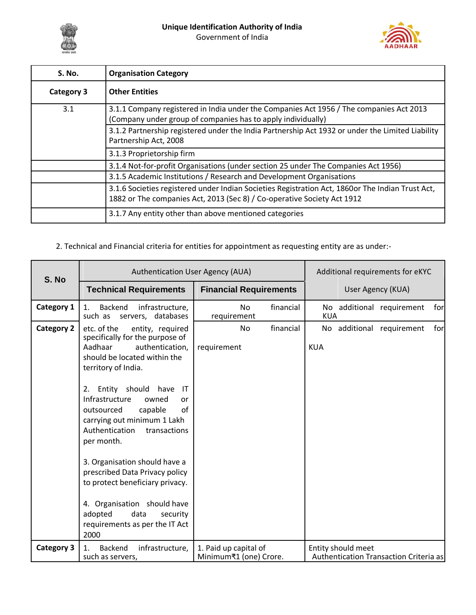



| <b>S. No.</b>     | <b>Organisation Category</b>                                                                                                                                                |  |
|-------------------|-----------------------------------------------------------------------------------------------------------------------------------------------------------------------------|--|
| <b>Category 3</b> | <b>Other Entities</b>                                                                                                                                                       |  |
| 3.1               | 3.1.1 Company registered in India under the Companies Act 1956 / The companies Act 2013<br>(Company under group of companies has to apply individually)                     |  |
|                   | 3.1.2 Partnership registered under the India Partnership Act 1932 or under the Limited Liability<br>Partnership Act, 2008                                                   |  |
|                   | 3.1.3 Proprietorship firm                                                                                                                                                   |  |
|                   | 3.1.4 Not-for-profit Organisations (under section 25 under The Companies Act 1956)                                                                                          |  |
|                   | 3.1.5 Academic Institutions / Research and Development Organisations                                                                                                        |  |
|                   | 3.1.6 Societies registered under Indian Societies Registration Act, 1860or The Indian Trust Act,<br>1882 or The companies Act, 2013 (Sec 8) / Co-operative Society Act 1912 |  |
|                   | 3.1.7 Any entity other than above mentioned categories                                                                                                                      |  |

2. Technical and Financial criteria for entities for appointment as requesting entity are as under:-

| S. No             | Authentication User Agency (AUA)                                                                                                                                                                                                                                                                                                                                                                                                                                                                                                                                        | Additional requirements for eKYC                |                                                              |
|-------------------|-------------------------------------------------------------------------------------------------------------------------------------------------------------------------------------------------------------------------------------------------------------------------------------------------------------------------------------------------------------------------------------------------------------------------------------------------------------------------------------------------------------------------------------------------------------------------|-------------------------------------------------|--------------------------------------------------------------|
|                   | <b>Technical Requirements</b>                                                                                                                                                                                                                                                                                                                                                                                                                                                                                                                                           | <b>Financial Requirements</b>                   | User Agency (KUA)                                            |
| Category 1        | Backend<br>infrastructure,<br>$1_{-}$<br>servers, databases<br>such as                                                                                                                                                                                                                                                                                                                                                                                                                                                                                                  | financial<br>N <sub>o</sub><br>requirement      | No additional requirement<br>forl<br><b>KUA</b>              |
| <b>Category 2</b> | etc. of the<br>entity, required<br>specifically for the purpose of<br>Aadhaar<br>authentication,<br>should be located within the<br>territory of India.<br>2. Entity should have<br>$\mathsf{I}\mathsf{T}$<br>Infrastructure<br>owned<br>or<br>of<br>capable<br>outsourced<br>carrying out minimum 1 Lakh<br>Authentication<br>transactions<br>per month.<br>3. Organisation should have a<br>prescribed Data Privacy policy<br>to protect beneficiary privacy.<br>4. Organisation should have<br>adopted<br>data<br>security<br>requirements as per the IT Act<br>2000 | financial<br><b>No</b><br>requirement           | for<br>No additional requirement<br><b>KUA</b>               |
| <b>Category 3</b> | <b>Backend</b><br>infrastructure,<br>1.<br>such as servers,                                                                                                                                                                                                                                                                                                                                                                                                                                                                                                             | 1. Paid up capital of<br>Minimum₹1 (one) Crore. | Entity should meet<br>Authentication Transaction Criteria as |